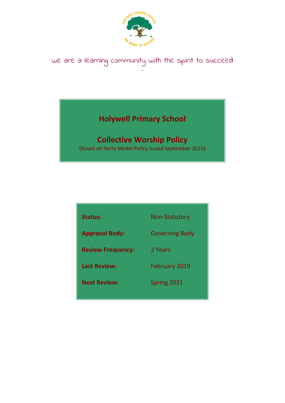

### we are a learning community with the spirit to succeed -

# **Holywell Primary School**

## **Collective Worship Policy**

(Based on Herts Model Policy issued September 2015)

| <b>Status:</b>           | <b>Non-Statutory</b>  |
|--------------------------|-----------------------|
| <b>Approval Body:</b>    | <b>Governing Body</b> |
| <b>Review Frequency:</b> | 2 Years               |
| <b>Last Review:</b>      | <b>February 2019</b>  |
| <b>Next Review:</b>      | Spring 2021           |
|                          |                       |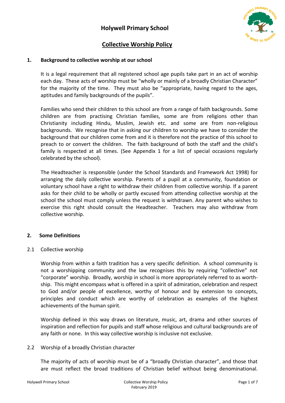

### **Collective Worship Policy**

#### **1. Background to collective worship at our school**

It is a legal requirement that all registered school age pupils take part in an act of worship each day. These acts of worship must be "wholly or mainly of a broadly Christian Character" for the majority of the time. They must also be "appropriate, having regard to the ages, aptitudes and family backgrounds of the pupils".

Families who send their children to this school are from a range of faith backgrounds. Some children are from practising Christian families, some are from religions other than Christianity including Hindu, Muslim, Jewish etc. and some are from non-religious backgrounds. We recognise that in asking our children to worship we have to consider the background that our children come from and it is therefore not the practice of this school to preach to or convert the children. The faith background of both the staff and the child's family is respected at all times. (See Appendix 1 for a list of special occasions regularly celebrated by the school).

The Headteacher is responsible (under the School Standards and Framework Act 1998) for arranging the daily collective worship. Parents of a pupil at a community, foundation or voluntary school have a right to withdraw their children from collective worship. If a parent asks for their child to be wholly or partly excused from attending collective worship at the school the school must comply unless the request is withdrawn. Any parent who wishes to exercise this right should consult the Headteacher. Teachers may also withdraw from collective worship.

#### **2. Some Definitions**

#### 2.1 Collective worship

Worship from within a faith tradition has a very specific definition. A school community is not a worshipping community and the law recognises this by requiring "collective" not "corporate" worship. Broadly, worship in school is more appropriately referred to as worthship. This might encompass what is offered in a spirit of admiration, celebration and respect to God and/or people of excellence, worthy of honour and by extension to concepts, principles and conduct which are worthy of celebration as examples of the highest achievements of the human spirit.

Worship defined in this way draws on literature, music, art, drama and other sources of inspiration and reflection for pupils and staff whose religious and cultural backgrounds are of any faith or none. In this way collective worship is inclusive not exclusive.

#### 2.2 Worship of a broadly Christian character

The majority of acts of worship must be of a "broadly Christian character", and those that are must reflect the broad traditions of Christian belief without being denominational.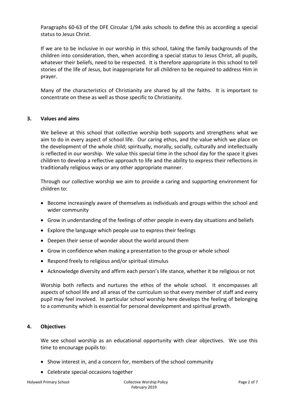Paragraphs 60-63 of the DFE Circular 1/94 asks schools to define this as according a special status to Jesus Christ.

If we are to be inclusive in our worship in this school, taking the family backgrounds of the children into consideration, then, when according a special status to Jesus Christ, all pupils, whatever their beliefs, need to be respected. It is therefore appropriate in this school to tell stories of the life of Jesus, but inappropriate for all children to be required to address Him in prayer.

Many of the characteristics of Christianity are shared by all the faiths. It is important to concentrate on these as well as those specific to Christianity.

#### **3. Values and aims**

We believe at this school that collective worship both supports and strengthens what we aim to do in every aspect of school life. Our caring ethos, and the value which we place on the development of the whole child; spiritually, morally, socially, culturally and intellectually is reflected in our worship. We value this special time in the school day for the space it gives children to develop a reflective approach to life and the ability to express their reflections in traditionally religious ways or any other appropriate manner.

Through our collective worship we aim to provide a caring and supporting environment for children to:

- Become increasingly aware of themselves as individuals and groups within the school and wider community
- Grow in understanding of the feelings of other people in every day situations and beliefs
- Explore the language which people use to express their feelings
- Deepen their sense of wonder about the world around them
- Grow in confidence when making a presentation to the group or whole school
- Respond freely to religious and/or spiritual stimulus
- Acknowledge diversity and affirm each person's life stance, whether it be religious or not

Worship both reflects and nurtures the ethos of the whole school. It encompasses all aspects of school life and all areas of the curriculum so that every member of staff and every pupil may feel involved. In particular school worship here develops the feeling of belonging to a community which is essential for personal development and spiritual growth.

#### **4. Objectives**

We see school worship as an educational opportunity with clear objectives. We use this time to encourage pupils to:

- Show interest in, and a concern for, members of the school community
- Celebrate special occasions together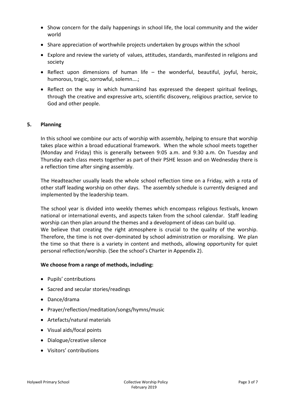- Show concern for the daily happenings in school life, the local community and the wider world
- Share appreciation of worthwhile projects undertaken by groups within the school
- Explore and review the variety of values, attitudes, standards, manifested in religions and society
- Reflect upon dimensions of human life the wonderful, beautiful, joyful, heroic, humorous, tragic, sorrowful, solemn….;
- Reflect on the way in which humankind has expressed the deepest spiritual feelings, through the creative and expressive arts, scientific discovery, religious practice, service to God and other people.

#### **5. Planning**

In this school we combine our acts of worship with assembly, helping to ensure that worship takes place within a broad educational framework. When the whole school meets together (Monday and Friday) this is generally between 9:05 a.m. and 9:30 a.m. On Tuesday and Thursday each class meets together as part of their PSHE lesson and on Wednesday there is a reflection time after singing assembly.

The Headteacher usually leads the whole school reflection time on a Friday, with a rota of other staff leading worship on other days. The assembly schedule is currently designed and implemented by the leadership team.

The school year is divided into weekly themes which encompass religious festivals, known national or international events, and aspects taken from the school calendar. Staff leading worship can then plan around the themes and a development of ideas can build up. We believe that creating the right atmosphere is crucial to the quality of the worship. Therefore, the time is not over-dominated by school administration or moralising. We plan the time so that there is a variety in content and methods, allowing opportunity for quiet personal reflection/worship. (See the school's Charter in Appendix 2).

#### **We choose from a range of methods, including:**

- Pupils' contributions
- Sacred and secular stories/readings
- Dance/drama
- Prayer/reflection/meditation/songs/hymns/music
- Artefacts/natural materials
- Visual aids/focal points
- Dialogue/creative silence
- Visitors' contributions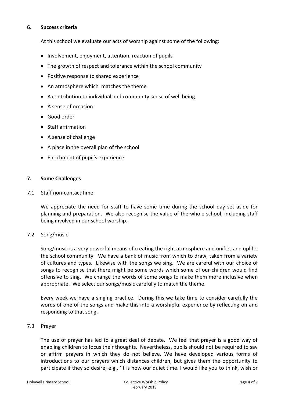#### **6. Success criteria**

At this school we evaluate our acts of worship against some of the following:

- Involvement, enjoyment, attention, reaction of pupils
- The growth of respect and tolerance within the school community
- Positive response to shared experience
- An atmosphere which matches the theme
- A contribution to individual and community sense of well being
- A sense of occasion
- Good order
- Staff affirmation
- A sense of challenge
- A place in the overall plan of the school
- Enrichment of pupil's experience

#### **7. Some Challenges**

#### 7.1 Staff non-contact time

We appreciate the need for staff to have some time during the school day set aside for planning and preparation. We also recognise the value of the whole school, including staff being involved in our school worship.

#### 7.2 Song/music

Song/music is a very powerful means of creating the right atmosphere and unifies and uplifts the school community. We have a bank of music from which to draw, taken from a variety of cultures and types. Likewise with the songs we sing. We are careful with our choice of songs to recognise that there might be some words which some of our children would find offensive to sing. We change the words of some songs to make them more inclusive when appropriate. We select our songs/music carefully to match the theme.

Every week we have a singing practice. During this we take time to consider carefully the words of one of the songs and make this into a worshipful experience by reflecting on and responding to that song.

#### 7.3 Prayer

The use of prayer has led to a great deal of debate. We feel that prayer is a good way of enabling children to focus their thoughts. Nevertheless, pupils should not be required to say or affirm prayers in which they do not believe. We have developed various forms of introductions to our prayers which distances children, but gives them the opportunity to participate if they so desire; e.g., 'It is now our quiet time. I would like you to think, wish or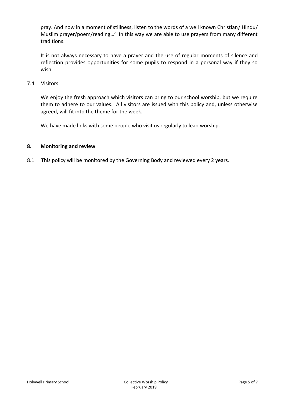pray. And now in a moment of stillness, listen to the words of a well known Christian/ Hindu/ Muslim prayer/poem/reading…' In this way we are able to use prayers from many different traditions.

It is not always necessary to have a prayer and the use of regular moments of silence and reflection provides opportunities for some pupils to respond in a personal way if they so wish.

7.4 Visitors

We enjoy the fresh approach which visitors can bring to our school worship, but we require them to adhere to our values. All visitors are issued with this policy and, unless otherwise agreed, will fit into the theme for the week.

We have made links with some people who visit us regularly to lead worship.

#### **8. Monitoring and review**

8.1 This policy will be monitored by the Governing Body and reviewed every 2 years.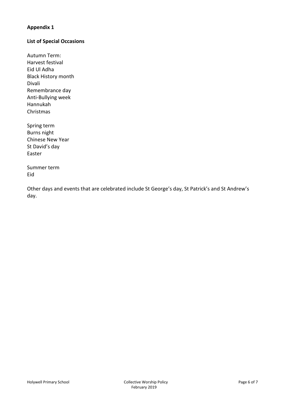#### **Appendix 1**

#### **List of Special Occasions**

Autumn Term: Harvest festival Eid Ul Adha Black History month Divali Remembrance day Anti-Bullying week Hannukah Christmas

Spring term Burns night Chinese New Year St David's day Easter

Summer term Eid

Other days and events that are celebrated include St George's day, St Patrick's and St Andrew's day.